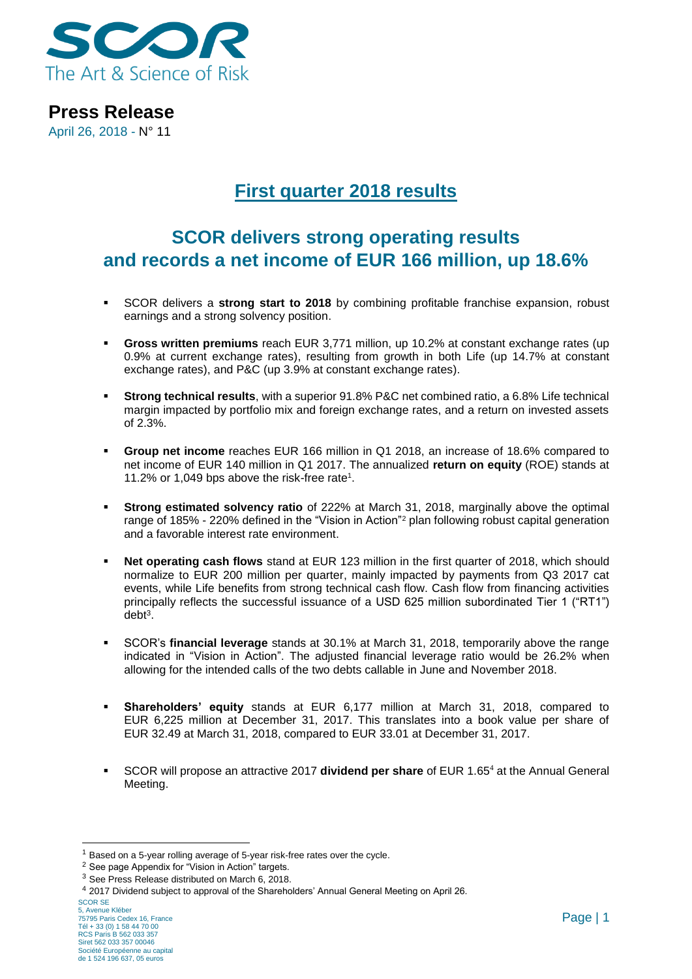

April 26, 2018 - N° 11

# **First quarter 2018 results**

# **SCOR delivers strong operating results and records a net income of EUR 166 million, up 18.6%**

- SCOR delivers a **strong start to 2018** by combining profitable franchise expansion, robust earnings and a strong solvency position.
- **Gross written premiums** reach EUR 3,771 million, up 10.2% at constant exchange rates (up 0.9% at current exchange rates), resulting from growth in both Life (up 14.7% at constant exchange rates), and P&C (up 3.9% at constant exchange rates).
- **Strong technical results**, with a superior 91.8% P&C net combined ratio, a 6.8% Life technical margin impacted by portfolio mix and foreign exchange rates, and a return on invested assets of 2.3%.
- **Group net income** reaches EUR 166 million in Q1 2018, an increase of 18.6% compared to net income of EUR 140 million in Q1 2017. The annualized **return on equity** (ROE) stands at 11.2% or 1,049 bps above the risk-free rate<sup>1</sup> .
- **Strong estimated solvency ratio** of 222% at March 31, 2018, marginally above the optimal range of 185% - 220% defined in the "Vision in Action"<sup>2</sup> plan following robust capital generation and a favorable interest rate environment.
- Net operating cash flows stand at EUR 123 million in the first quarter of 2018, which should normalize to EUR 200 million per quarter, mainly impacted by payments from Q3 2017 cat events, while Life benefits from strong technical cash flow. Cash flow from financing activities principally reflects the successful issuance of a USD 625 million subordinated Tier 1 ("RT1") debt<sup>3</sup> .
- SCOR's **financial leverage** stands at 30.1% at March 31, 2018, temporarily above the range indicated in "Vision in Action". The adjusted financial leverage ratio would be 26.2% when allowing for the intended calls of the two debts callable in June and November 2018.
- **Shareholders' equity** stands at EUR 6,177 million at March 31, 2018, compared to EUR 6,225 million at December 31, 2017. This translates into a book value per share of EUR 32.49 at March 31, 2018, compared to EUR 33.01 at December 31, 2017.
- SCOR will propose an attractive 2017 **dividend per share** of EUR 1.65<sup>4</sup> at the Annual General Meeting.

-

<sup>&</sup>lt;sup>1</sup> Based on a 5-year rolling average of 5-year risk-free rates over the cycle.

<sup>2</sup> See page Appendix for "Vision in Action" targets.

<sup>&</sup>lt;sup>3</sup> See Press Release distributed on March 6, 2018.

<sup>4</sup> 2017 Dividend subject to approval of the Shareholders' Annual General Meeting on April 26.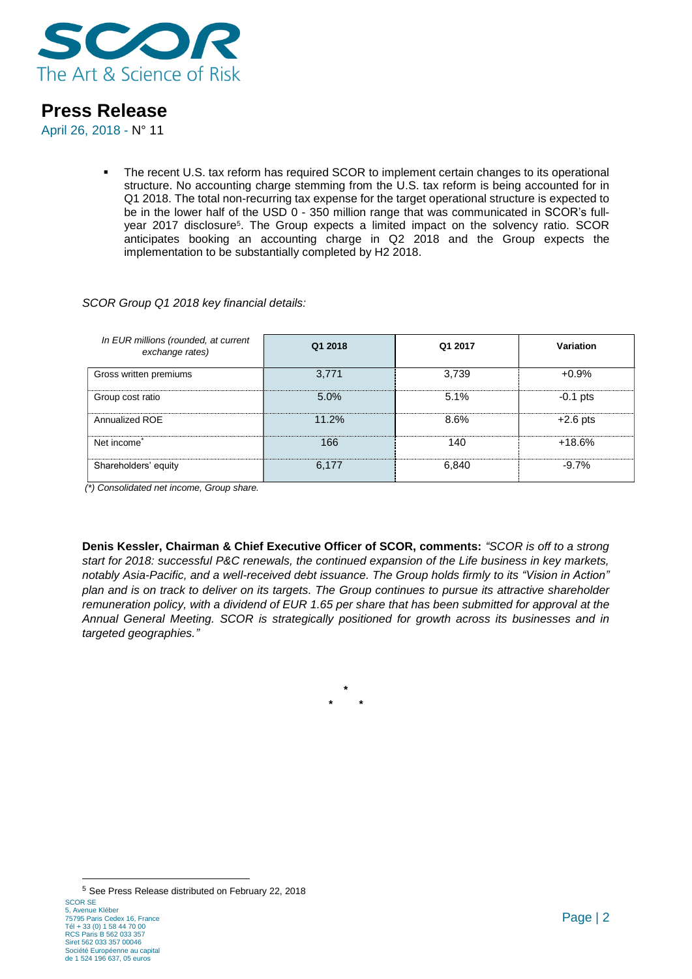

April 26, 2018 - N° 11

**•** The recent U.S. tax reform has required SCOR to implement certain changes to its operational structure. No accounting charge stemming from the U.S. tax reform is being accounted for in Q1 2018. The total non-recurring tax expense for the target operational structure is expected to be in the lower half of the USD 0 - 350 million range that was communicated in SCOR's fullyear 2017 disclosure<sup>5</sup>. The Group expects a limited impact on the solvency ratio. SCOR anticipates booking an accounting charge in Q2 2018 and the Group expects the implementation to be substantially completed by H2 2018.

#### *SCOR Group Q1 2018 key financial details:*

| In EUR millions (rounded, at current<br>exchange rates) | Q1 2018 | Q1 2017 | Variation  |
|---------------------------------------------------------|---------|---------|------------|
| Gross written premiums                                  | 3,771   | 3.739   | $+0.9%$    |
| Group cost ratio                                        | 5.0%    | 5.1%    | $-0.1$ pts |
| Annualized ROE                                          | 11.2%   | 8.6%    | $+2.6$ pts |
| Net income <sup>*</sup>                                 | 166     | 140     | $+18.6%$   |
| Shareholders' equity                                    | 6,177   | 6.840   | $-9.7%$    |

*(\*) Consolidated net income, Group share.*

**Denis Kessler, Chairman & Chief Executive Officer of SCOR, comments:** *"SCOR is off to a strong start for 2018: successful P&C renewals, the continued expansion of the Life business in key markets, notably Asia-Pacific, and a well-received debt issuance. The Group holds firmly to its "Vision in Action" plan and is on track to deliver on its targets. The Group continues to pursue its attractive shareholder remuneration policy, with a dividend of EUR 1.65 per share that has been submitted for approval at the Annual General Meeting. SCOR is strategically positioned for growth across its businesses and in targeted geographies."*

> **\* \* \***

de 1 524 196 637, 05 euros

SCOR SE 5, Avenue Kléber 75795 Paris Cedex 16, France Tél + 33 (0) 1 58 44 70 00 RCS Paris B 562 033 357 Siret 562 033 357 00046 Société Européenne au capital -<sup>5</sup> See Press Release distributed on February 22, 2018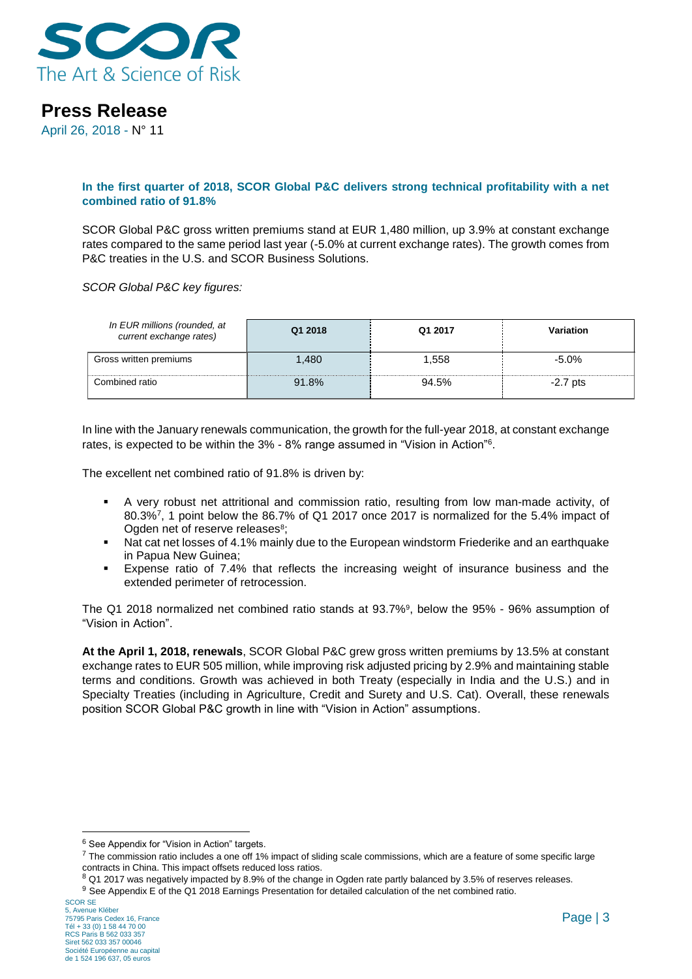

April 26, 2018 - N° 11

#### **In the first quarter of 2018, SCOR Global P&C delivers strong technical profitability with a net combined ratio of 91.8%**

SCOR Global P&C gross written premiums stand at EUR 1,480 million, up 3.9% at constant exchange rates compared to the same period last year (-5.0% at current exchange rates). The growth comes from P&C treaties in the U.S. and SCOR Business Solutions.

*SCOR Global P&C key figures:*

| In EUR millions (rounded, at<br>current exchange rates) | Q1 2018 | Q1 2017 | <b>Variation</b> |
|---------------------------------------------------------|---------|---------|------------------|
| Gross written premiums                                  | 1.480   | 1.558   | $-5.0\%$         |
| Combined ratio                                          | 91.8%   | 94.5%   | $-2.7$ pts       |

In line with the January renewals communication, the growth for the full-year 2018, at constant exchange rates, is expected to be within the 3% - 8% range assumed in "Vision in Action"<sup>6</sup> .

The excellent net combined ratio of 91.8% is driven by:

- A very robust net attritional and commission ratio, resulting from low man-made activity, of 80.3%<sup>7</sup> , 1 point below the 86.7% of Q1 2017 once 2017 is normalized for the 5.4% impact of Ogden net of reserve releases<sup>8</sup>;
- Nat cat net losses of 4.1% mainly due to the European windstorm Friederike and an earthquake in Papua New Guinea;
- Expense ratio of 7.4% that reflects the increasing weight of insurance business and the extended perimeter of retrocession.

The Q1 2018 normalized net combined ratio stands at 93.7%<sup>9</sup> , below the 95% - 96% assumption of "Vision in Action".

**At the April 1, 2018, renewals**, SCOR Global P&C grew gross written premiums by 13.5% at constant exchange rates to EUR 505 million, while improving risk adjusted pricing by 2.9% and maintaining stable terms and conditions. Growth was achieved in both Treaty (especially in India and the U.S.) and in Specialty Treaties (including in Agriculture, Credit and Surety and U.S. Cat). Overall, these renewals position SCOR Global P&C growth in line with "Vision in Action" assumptions.

<sup>1</sup> <sup>6</sup> See Appendix for "Vision in Action" targets.

<sup>&</sup>lt;sup>7</sup> The commission ratio includes a one off 1% impact of sliding scale commissions, which are a feature of some specific large contracts in China. This impact offsets reduced loss ratios.

<sup>&</sup>lt;sup>8</sup> Q1 2017 was negatively impacted by 8.9% of the change in Ogden rate partly balanced by 3.5% of reserves releases.

<sup>&</sup>lt;sup>9</sup> See Appendix E of the Q1 2018 Earnings Presentation for detailed calculation of the net combined ratio.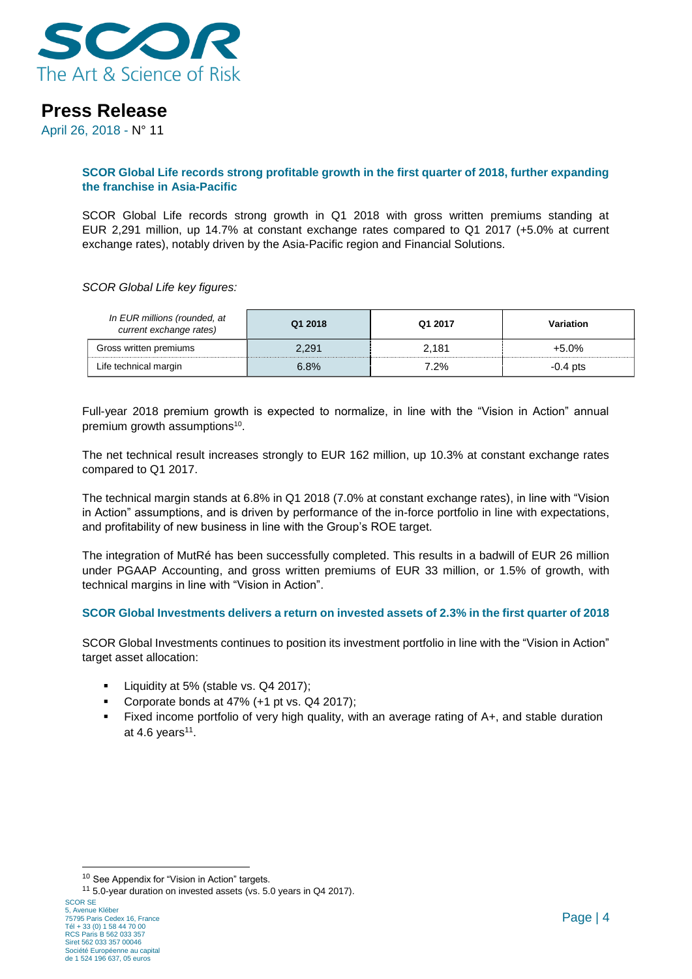

April 26, 2018 - N° 11

#### **SCOR Global Life records strong profitable growth in the first quarter of 2018, further expanding the franchise in Asia-Pacific**

SCOR Global Life records strong growth in Q1 2018 with gross written premiums standing at EUR 2,291 million, up 14.7% at constant exchange rates compared to Q1 2017 (+5.0% at current exchange rates), notably driven by the Asia-Pacific region and Financial Solutions.

*SCOR Global Life key figures:*

| In EUR millions (rounded, at<br>current exchange rates) | Q1 2018 | Q1 2017 | Variation |
|---------------------------------------------------------|---------|---------|-----------|
| Gross written premiums                                  | 2,291   | 2.181   | $+5.0%$   |
| Life technical margin                                   | 6.8%    | 7.2%    | -0.4 pts  |

Full-year 2018 premium growth is expected to normalize, in line with the "Vision in Action" annual premium growth assumptions<sup>10</sup>.

The net technical result increases strongly to EUR 162 million, up 10.3% at constant exchange rates compared to Q1 2017.

The technical margin stands at 6.8% in Q1 2018 (7.0% at constant exchange rates), in line with "Vision in Action" assumptions, and is driven by performance of the in-force portfolio in line with expectations, and profitability of new business in line with the Group's ROE target.

The integration of MutRé has been successfully completed. This results in a badwill of EUR 26 million under PGAAP Accounting, and gross written premiums of EUR 33 million, or 1.5% of growth, with technical margins in line with "Vision in Action".

#### **SCOR Global Investments delivers a return on invested assets of 2.3% in the first quarter of 2018**

SCOR Global Investments continues to position its investment portfolio in line with the "Vision in Action" target asset allocation:

- Liquidity at 5% (stable vs. Q4 2017);
- Corporate bonds at 47% (+1 pt vs. Q4 2017):
- Fixed income portfolio of very high quality, with an average rating of A+, and stable duration at 4.6 years<sup>11</sup>.

<sup>1</sup> <sup>10</sup> See Appendix for "Vision in Action" targets.

<sup>11</sup> 5.0-year duration on invested assets (vs. 5.0 years in Q4 2017).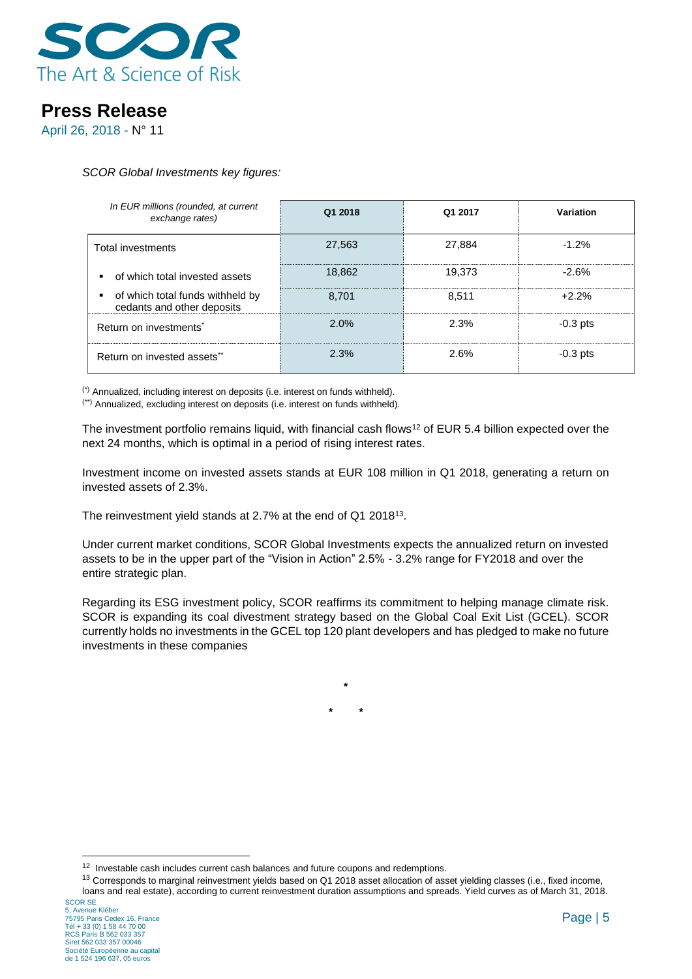

April 26, 2018 - N° 11

*SCOR Global Investments key figures:*

| In EUR millions (rounded, at current<br>exchange rates)        | Q1 2018 | Q1 2017 | Variation  |
|----------------------------------------------------------------|---------|---------|------------|
| Total investments                                              | 27,563  | 27.884  | $-1.2%$    |
| of which total invested assets                                 | 18.862  | 19.373  | $-2.6%$    |
| of which total funds withheld by<br>cedants and other deposits | 8.701   | 8.511   | $+2.2%$    |
| Return on investments <sup>*</sup>                             | 2.0%    | 2.3%    | $-0.3$ pts |
| Return on invested assets**                                    | 2.3%    | 2.6%    | $-0.3$ pts |

(\*) Annualized, including interest on deposits (i.e. interest on funds withheld).

(\*\*) Annualized, excluding interest on deposits (i.e. interest on funds withheld).

The investment portfolio remains liquid, with financial cash flows<sup>12</sup> of EUR 5.4 billion expected over the next 24 months, which is optimal in a period of rising interest rates.

Investment income on invested assets stands at EUR 108 million in Q1 2018, generating a return on invested assets of 2.3%.

The reinvestment yield stands at 2.7% at the end of Q1 2018<sup>13</sup>.

Under current market conditions, SCOR Global Investments expects the annualized return on invested assets to be in the upper part of the "Vision in Action" 2.5% - 3.2% range for FY2018 and over the entire strategic plan.

Regarding its ESG investment policy, SCOR reaffirms its commitment to helping manage climate risk. SCOR is expanding its coal divestment strategy based on the Global Coal Exit List (GCEL). SCOR currently holds no investments in the GCEL top 120 plant developers and has pledged to make no future investments in these companies

**\* \***

**\***

<sup>13</sup> Corresponds to marginal reinvestment yields based on Q1 2018 asset allocation of asset yielding classes (i.e., fixed income, loans and real estate), according to current reinvestment duration assumptions and spreads. Yield curves as of March 31, 2018.

1

<sup>&</sup>lt;sup>12</sup> Investable cash includes current cash balances and future coupons and redemptions.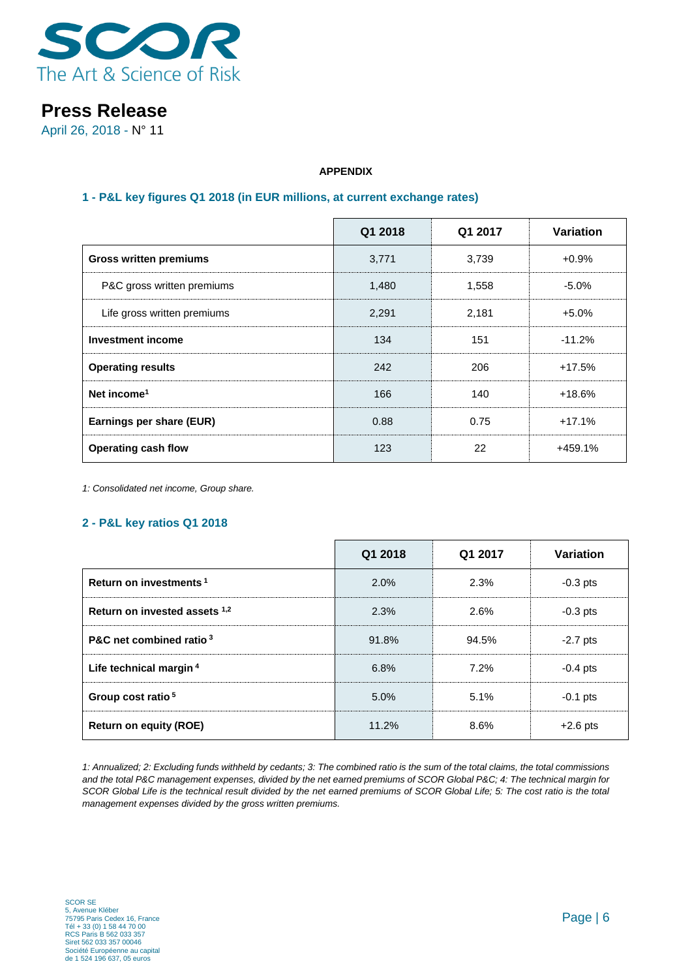

April 26, 2018 - N° 11

### **APPENDIX**

### **1 - P&L key figures Q1 2018 (in EUR millions, at current exchange rates)**

|                               | Q1 2018 | Q1 2017 | Variation |
|-------------------------------|---------|---------|-----------|
| <b>Gross written premiums</b> | 3,771   | 3,739   | $+0.9\%$  |
| P&C gross written premiums    | 1,480   | 1,558   | $-5.0\%$  |
| Life gross written premiums   | 2,291   | 2,181   | $+5.0\%$  |
| Investment income             | 134     | 151     | $-11.2%$  |
| <b>Operating results</b>      | 242     | 206     | $+17.5%$  |
| Net income <sup>1</sup>       | 166     | 140     | $+18.6%$  |
| Earnings per share (EUR)      | 0.88    | 0.75    | $+17.1%$  |
| <b>Operating cash flow</b>    | 123     | 22      | +459.1%   |

*1: Consolidated net income, Group share.*

#### **2 - P&L key ratios Q1 2018**

|                                    | Q1 2018 | Q1 2017 | Variation  |
|------------------------------------|---------|---------|------------|
| Return on investments <sup>1</sup> | 2.0%    | 2.3%    | $-0.3$ pts |
| Return on invested assets 1,2      | 2.3%    | 2.6%    | $-0.3$ pts |
| P&C net combined ratio 3           | 91.8%   | 94.5%   | $-2.7$ pts |
| Life technical margin <sup>4</sup> | 6.8%    | 7.2%    | $-0.4$ pts |
| Group cost ratio <sup>5</sup>      | 5.0%    | 5.1%    | $-0.1$ pts |
| <b>Return on equity (ROE)</b>      | 11.2%   | 8.6%    | $+2.6$ pts |

*1: Annualized; 2: Excluding funds withheld by cedants; 3: The combined ratio is the sum of the total claims, the total commissions and the total P&C management expenses, divided by the net earned premiums of SCOR Global P&C; 4: The technical margin for SCOR Global Life is the technical result divided by the net earned premiums of SCOR Global Life; 5: The cost ratio is the total management expenses divided by the gross written premiums.*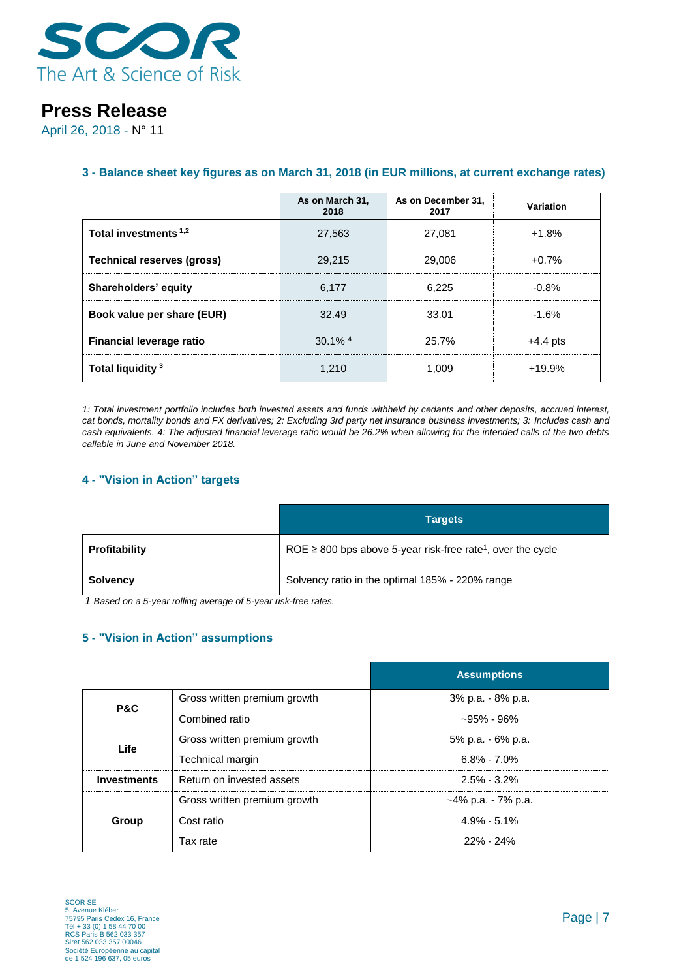

April 26, 2018 - N° 11

### **3 - Balance sheet key figures as on March 31, 2018 (in EUR millions, at current exchange rates)**

|                                 | As on March 31,<br>2018 | As on December 31,<br>2017 | Variation  |
|---------------------------------|-------------------------|----------------------------|------------|
| Total investments 1,2           | 27,563                  | 27.081                     | $+1.8%$    |
| Technical reserves (gross)      | 29.215                  | 29,006                     | $+0.7%$    |
| Shareholders' equity            | 6,177                   | 6.225                      | $-0.8%$    |
| Book value per share (EUR)      | 32.49                   | 33.01                      | $-1.6%$    |
| <b>Financial leverage ratio</b> | $30.1\%$ <sup>4</sup>   | 25.7%                      | $+4.4$ pts |
| Total liquidity <sup>3</sup>    | 1.210                   | 1.009                      | $+19.9%$   |

*1: Total investment portfolio includes both invested assets and funds withheld by cedants and other deposits, accrued interest, cat bonds, mortality bonds and FX derivatives; 2: Excluding 3rd party net insurance business investments; 3: Includes cash and cash equivalents. 4: The adjusted financial leverage ratio would be 26.2% when allowing for the intended calls of the two debts callable in June and November 2018.*

### **4 - "Vision in Action" targets**

|               | <b>Targets</b>                                                               |
|---------------|------------------------------------------------------------------------------|
| Profitability | ROE $\geq$ 800 bps above 5-year risk-free rate <sup>1</sup> , over the cycle |
| Solvency      | Solvency ratio in the optimal 185% - 220% range                              |

*1 Based on a 5-year rolling average of 5-year risk-free rates.*

#### **5 - "Vision in Action" assumptions**

|                    |                              | <b>Assumptions</b>    |
|--------------------|------------------------------|-----------------------|
| P&C                | Gross written premium growth | 3% p.a. - 8% p.a.     |
|                    | Combined ratio               | $-95\%$ - 96%         |
| Life               | Gross written premium growth | 5% p.a. - 6% p.a.     |
|                    | Technical margin             | $6.8\% - 7.0\%$       |
| <b>Investments</b> | Return on invested assets    | $2.5\% - 3.2\%$       |
|                    | Gross written premium growth | $-4\%$ p.a. - 7% p.a. |
| Group              | Cost ratio                   | $4.9\% - 5.1\%$       |
|                    | Tax rate                     | $22\% - 24\%$         |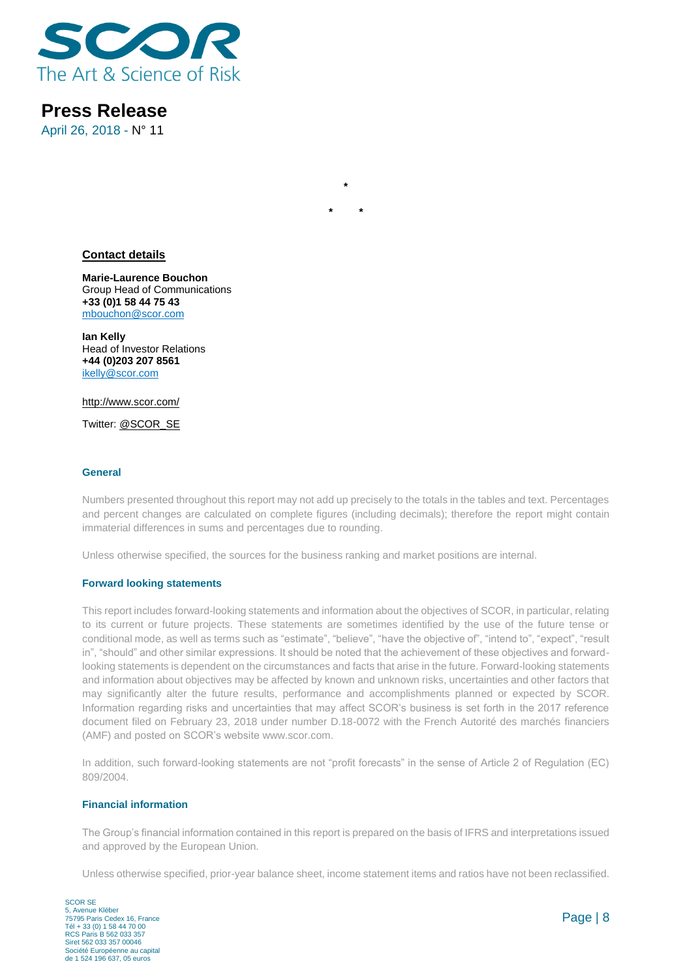

April 26, 2018 - N° 11

#### **Contact details**

**Marie-Laurence Bouchon** Group Head of Communications **+33 (0)1 58 44 75 43** [mbouchon@scor.com](mailto:mbouchon@scor.com)

**Ian Kelly** Head of Investor Relations **+44 (0)203 207 8561** [ikelly@scor.com](mailto:ikelly@scor.com)

[http://www.scor.com/](http://www.scor.com/en/)

Twitter: [@SCOR\\_SE](https://twitter.com/SCOR_SE)

#### **General**

Numbers presented throughout this report may not add up precisely to the totals in the tables and text. Percentages and percent changes are calculated on complete figures (including decimals); therefore the report might contain immaterial differences in sums and percentages due to rounding.

**\***

**\* \***

Unless otherwise specified, the sources for the business ranking and market positions are internal.

#### **Forward looking statements**

This report includes forward-looking statements and information about the objectives of SCOR, in particular, relating to its current or future projects. These statements are sometimes identified by the use of the future tense or conditional mode, as well as terms such as "estimate", "believe", "have the objective of", "intend to", "expect", "result in", "should" and other similar expressions. It should be noted that the achievement of these objectives and forwardlooking statements is dependent on the circumstances and facts that arise in the future. Forward-looking statements and information about objectives may be affected by known and unknown risks, uncertainties and other factors that may significantly alter the future results, performance and accomplishments planned or expected by SCOR. Information regarding risks and uncertainties that may affect SCOR's business is set forth in the 2017 reference document filed on February 23, 2018 under number D.18-0072 with the French Autorité des marchés financiers (AMF) and posted on SCOR's website [www.scor.com.](http://www.scor.com/)

In addition, such forward-looking statements are not "profit forecasts" in the sense of Article 2 of Regulation (EC) 809/2004.

#### **Financial information**

The Group's financial information contained in this report is prepared on the basis of IFRS and interpretations issued and approved by the European Union.

Unless otherwise specified, prior-year balance sheet, income statement items and ratios have not been reclassified.

SCOR SE 5, Avenue Kléber 75795 Paris Cedex 16, France Tél + 33 (0) 1 58 44 70 00 RCS Paris B 562 033 357 Siret 562 033 357 00046 Société Européenne au capital de 1 524 196 637, 05 euros